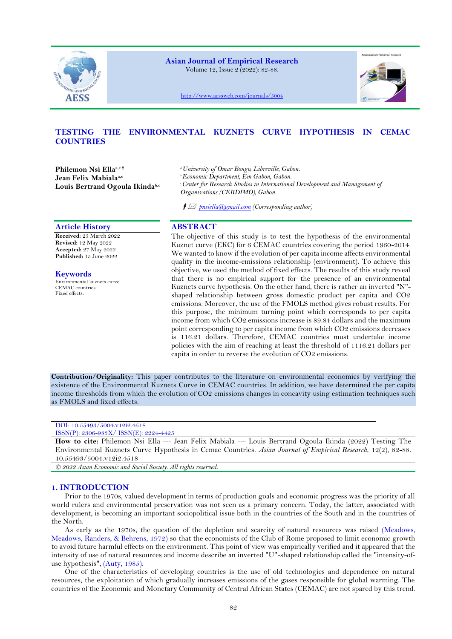

**Asian Journal of Empirical Research**

Volume 12, Issue 2 (2022): 82-88.



<http://www.aessweb.com/journals/5004>

# **TESTING THE ENVIRONMENTAL KUZNETS CURVE HYPOTHESIS IN CEMAC COUNTRIES**

**Philemon Nsi Ellaa,c Jean Felix Mabialaa,c Louis Bertrand Ogoula Ikindab,c** *<sup>a</sup>University of Omar Bongo, Libreville, Gabon. <sup>b</sup>Economic Department, Em Gabon, Gabon. <sup>c</sup>Center for Research Studies in International Development and Management of Organizations (CERDIMO), Gabon.*

*[pnsiella@gmail.com](mailto:pnsiella@gmail.com) (Corresponding author)*

# **Article History ABSTRACT**

**Received:** 25 March 2022 **Revised:** 12 May 2022 **Accepted:** 27 May 2022 **Published:** 15 June 2022

**Keywords** Environmental kuznets curve CEMAC countries Fixed effects.

The objective of this study is to test the hypothesis of the environmental Kuznet curve (EKC) for 6 CEMAC countries covering the period 1960-2014. We wanted to know if the evolution of per capita income affects environmental quality in the income-emissions relationship (environment). To achieve this objective, we used the method of fixed effects. The results of this study reveal that there is no empirical support for the presence of an environmental Kuznets curve hypothesis. On the other hand, there is rather an inverted "N" shaped relationship between gross domestic product per capita and CO2 emissions. Moreover, the use of the FMOLS method gives robust results. For this purpose, the minimum turning point which corresponds to per capita income from which CO2 emissions increase is 89.84 dollars and the maximum point corresponding to per capita income from which CO2 emissions decreases is 116.21 dollars. Therefore, CEMAC countries must undertake income policies with the aim of reaching at least the threshold of 1116.21 dollars per capita in order to reverse the evolution of CO2 emissions.

**Contribution/Originality:** This paper contributes to the literature on environmental economics by verifying the existence of the Environmental Kuznets Curve in CEMAC countries. In addition, we have determined the per capita income thresholds from which the evolution of CO2 emissions changes in concavity using estimation techniques such as FMOLS and fixed effects.

# DOI: 10.55493/5004.v12i2.4518

#### ISSN(P): 2306-983X/ ISSN(E): 2224-4425

**How to cite:** Philemon Nsi Ella --- Jean Felix Mabiala --- Louis Bertrand Ogoula Ikinda (2022) Testing The Environmental Kuznets Curve Hypothesis in Cemac Countries. *Asian Journal of Empirical Research*, 12(2), 82-88. 10.55493/5004.v12i2.4518

*© 2022 Asian Economic and Social Society. All rights reserved.*

# **1. INTRODUCTION**

Prior to the 1970s, valued development in terms of production goals and economic progress was the priority of all world rulers and environmental preservation was not seen as a primary concern. Today, the latter, associated with development, is becoming an important sociopolitical issue both in the countries of the South and in the countries of the North.

As early as the 1970s, the question of the depletion and scarcity of natural resources was raised [\(Meadows,](#page-6-0)  [Meadows, Randers, & Behrens, 1972\)](#page-6-0) so that the economists of the Club of Rome proposed to limit economic growth to avoid future harmful effects on the environment. This point of view was empirically verified and it appeared that the intensity of use of natural resources and income describe an inverted "U"-shaped relationship called the "intensity-ofuse hypothesis", [\(Auty, 1985\)](#page-5-0).

One of the characteristics of developing countries is the use of old technologies and dependence on natural resources, the exploitation of which gradually increases emissions of the gases responsible for global warming. The countries of the Economic and Monetary Community of Central African States (CEMAC) are not spared by this trend.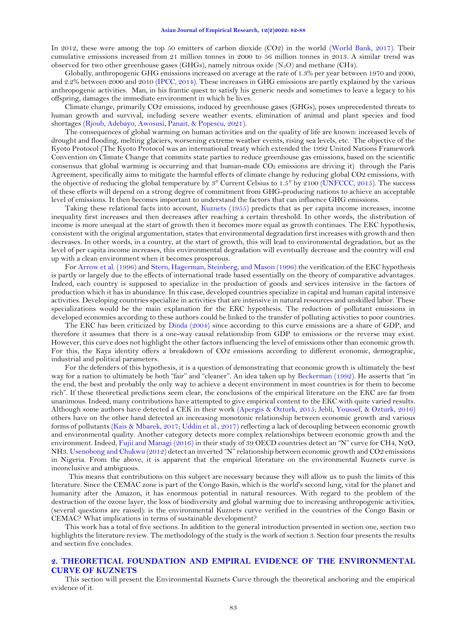In 2012, these were among the top 50 emitters of carbon dioxide (CO2) in the world [\(World Bank, 2017\)](#page-6-1). Their cumulative emissions increased from 21 million tonnes in 2000 to 56 million tonnes in 2013. A similar trend was observed for two other greenhouse gases (GHGs), namely nitrous oxide  $(N<sub>2</sub>O)$  and methane (CH4).

Globally, anthropogenic GHG emissions increased on average at the rate of 1.3% per year between 1970 and 2000, and 2.2% between 2000 and 2010 [\(IPCC, 2014\)](#page-6-2). These increases in GHG emissions are partly explained by the various anthropogenic activities. Man, in his frantic quest to satisfy his generic needs and sometimes to leave a legacy to his offspring, damages the immediate environment in which he lives.

Climate change, primarily CO2 emissions, induced by greenhouse gases (GHGs), poses unprecedented threats to human growth and survival, including severe weather events, elimination of animal and plant species and food shortages [\(Rjoub, Adebayo, Awosusi, Panait, & Popescu, 2021\)](#page-6-3).

The consequences of global warming on human activities and on the quality of life are known: increased levels of drought and flooding, melting glaciers, worsening extreme weather events, rising sea levels, etc. The objective of the Kyoto Protocol (The Kyoto Protocol was an international treaty which extended the 1992 United Nations Framework Convention on Climate Change that commits state parties to reduce greenhouse gas emissions, based on the scientific consensus that global warming is occurring and that human-made CO₂ emissions are driving it) through the Paris Agreement, specifically aims to mitigate the harmful effects of climate change by reducing global CO2 emissions, with the objective of reducing the global temperature by  $3^\circ$  Current Celsius to  $1.5^\circ$  by  $2100$  [\(UNFCCC, 2015\)](#page-6-4). The success of these efforts will depend on a strong degree of commitment from GHG-producing nations to achieve an acceptable level of emissions. It then becomes important to understand the factors that can influence GHG emissions.

Taking these relational facts into account, [Kuznets \(1955\)](#page-6-5) predicts that as per capita income increases, income inequality first increases and then decreases after reaching a certain threshold. In other words, the distribution of income is more unequal at the start of growth then it becomes more equal as growth continues. The EKC hypothesis, consistent with the original argumentation, states that environmental degradation first increases with growth and then decreases. In other words, in a country, at the start of growth, this will lead to environmental degradation, but as the level of per capita income increases, this environmental degradation will eventually decrease and the country will end up with a clean environment when it becomes prosperous.

For [Arrow et al. \(1996\)](#page-5-1) and [Stern, Hagerman, Steinberg, and Mason \(1996\)](#page-6-6) the verification of the EKC hypothesis is partly or largely due to the effects of international trade based essentially on the theory of comparative advantages. Indeed, each country is supposed to specialize in the production of goods and services intensive in the factors of production which it has in abundance. In this case, developed countries specialize in capital and human capital intensive activities. Developing countries specialize in activities that are intensive in natural resources and unskilled labor. These specializations would be the main explanation for the EKC hypothesis. The reduction of pollutant emissions in developed economies according to these authors could be linked to the transfer of polluting activities to poor countries.

The EKC has been criticized by [Dinda \(2004\)](#page-5-2) since according to this curve emissions are a share of GDP, and therefore it assumes that there is a one-way causal relationship from GDP to emissions or the reverse may exist. However, this curve does not highlight the other factors influencing the level of emissions other than economic growth. For this, the Kaya identity offers a breakdown of CO2 emissions according to different economic, demographic, industrial and political parameters.

For the defenders of this hypothesis, it is a question of demonstrating that economic growth is ultimately the best way for a nation to ultimately be both "fair" and "cleaner". An idea taken up by [Beckerman \(1992\)](#page-5-3). He asserts that "in the end, the best and probably the only way to achieve a decent environment in most countries is for them to become rich". If these theoretical predictions seem clear, the conclusions of the empirical literature on the EKC are far from unanimous. Indeed, many contributions have attempted to give empirical content to the EKC with quite varied results. Although some authors have detected a CEK in their work [\(Apergis & Ozturk, 2015;](#page-5-4) [Jebli, Youssef, & Ozturk, 2016\)](#page-6-7) others have on the other hand detected an increasing monotonic relationship between economic growth and various forms of pollutants [\(Kais & Mbarek, 2017;](#page-6-8) [Uddin et al., 2017\)](#page-6-9) reflecting a lack of decoupling between economic growth and environmental quality. Another category detects more complex relationships between economic growth and the environment. Indeed[, Fujii and Managi \(2016\)](#page-5-5) in their study of 39 OECD countries detect an "N" curve for CH4, N2O, NH3. [Usenobong and Chukwu \(2012\)](#page-6-10) detect an inverted "N" relationship between economic growth and CO2 emissions in Nigeria. From the above, it is apparent that the empirical literature on the environmental Kuznets curve is inconclusive and ambiguous.

 This means that contributions on this subject are necessary because they will allow us to push the limits of this literature. Since the CEMAC zone is part of the Congo Basin, which is the world's second lung, vital for the planet and humanity after the Amazon, it has enormous potential in natural resources. With regard to the problem of the destruction of the ozone layer, the loss of biodiversity and global warming due to increasing anthropogenic activities, (several questions are raised): is the environmental Kuznets curve verified in the countries of the Congo Basin or CEMAC? What implications in terms of sustainable development?

This work has a total of five sections. In addition to the general introduction presented in section one, section two highlights the literature review. The methodology of the study is the work of section 3. Section four presents the results and section five concludes.

# **2. THEORETICAL FOUNDATION AND EMPIRAL EVIDENCE OF THE ENVIRONMENTAL CURVE OF KUZNETS**

This section will present the Environmental Kuznets Curve through the theoretical anchoring and the empirical evidence of it.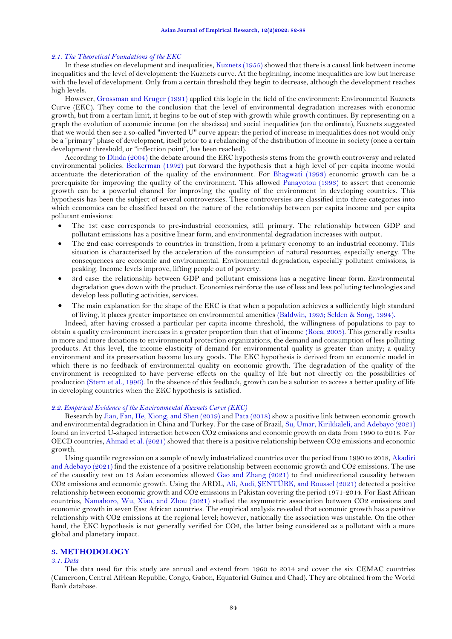#### *2.1. The Theoretical Foundations of the EKC*

In these studies on development and inequalities[, Kuznets \(1955\)](#page-6-5) showed that there is a causal link between income inequalities and the level of development: the Kuznets curve. At the beginning, income inequalities are low but increase with the level of development. Only from a certain threshold they begin to decrease, although the development reaches high levels.

However[, Grossman and Kruger \(1991\)](#page-6-11) applied this logic in the field of the environment: Environmental Kuznets Curve (EKC). They come to the conclusion that the level of environmental degradation increases with economic growth, but from a certain limit, it begins to be out of step with growth while growth continues. By representing on a graph the evolution of economic income (on the abscissa) and social inequalities (on the ordinate), Kuznets suggested that we would then see a so-called "inverted U" curve appear: the period of increase in inequalities does not would only be a "primary" phase of development, itself prior to a rebalancing of the distribution of income in society (once a certain development threshold, or "inflection point", has been reached).

According to [Dinda \(2004\)](#page-5-2) the debate around the EKC hypothesis stems from the growth controversy and related environmental policies. [Beckerman \(1992\)](#page-5-3) put forward the hypothesis that a high level of per capita income would accentuate the deterioration of the quality of the environment. For [Bhagwati \(1993\)](#page-5-6) economic growth can be a prerequisite for improving the quality of the environment. This allowed [Panayotou \(1993\)](#page-6-12) to assert that economic growth can be a powerful channel for improving the quality of the environment in developing countries. This hypothesis has been the subject of several controversies. These controversies are classified into three categories into which economies can be classified based on the nature of the relationship between per capita income and per capita pollutant emissions:

- The 1st case corresponds to pre-industrial economies, still primary. The relationship between GDP and pollutant emissions has a positive linear form, and environmental degradation increases with output.
- The 2nd case corresponds to countries in transition, from a primary economy to an industrial economy. This situation is characterized by the acceleration of the consumption of natural resources, especially energy. The consequences are economic and environmental. Environmental degradation, especially pollutant emissions, is peaking. Income levels improve, lifting people out of poverty.
- 3rd case: the relationship between GDP and pollutant emissions has a negative linear form. Environmental degradation goes down with the product. Economies reinforce the use of less and less polluting technologies and develop less polluting activities, services.
- The main explanation for the shape of the EKC is that when a population achieves a sufficiently high standard of living, it places greater importance on environmental amenities [\(Baldwin, 1995;](#page-5-7) [Selden & Song, 1994\)](#page-6-13).

Indeed, after having crossed a particular per capita income threshold, the willingness of populations to pay to obtain a quality environment increases in a greater proportion than that of income [\(Roca, 2003\)](#page-6-14). This generally results in more and more donations to environmental protection organizations, the demand and consumption of less polluting products. At this level, the income elasticity of demand for environmental quality is greater than unity; a quality environment and its preservation become luxury goods. The EKC hypothesis is derived from an economic model in which there is no feedback of environmental quality on economic growth. The degradation of the quality of the environment is recognized to have perverse effects on the quality of life but not directly on the possibilities of production [\(Stern et al., 1996\)](#page-6-6). In the absence of this feedback, growth can be a solution to access a better quality of life in developing countries when the EKC hypothesis is satisfied.

#### *2.2. Empirical Evidence of the Environmental Kuznets Curve (EKC)*

Research by [Jian, Fan, He, Xiong, and Shen \(2019\)](#page-6-15) an[d Pata \(2018\)](#page-6-16) show a positive link between economic growth and environmental degradation in China and Turkey. For the case of Brazil, [Su, Umar, Kirikkaleli, and Adebayo \(2021\)](#page-6-17) found an inverted U-shaped interaction between CO2 emissions and economic growth on data from 1990 to 2018. For OECD countries, [Ahmad et al. \(2021\)](#page-5-8) showed that there is a positive relationship between CO2 emissions and economic growth.

Using quantile regression on a sample of newly industrialized countries over the period from 1990 to 2018[, Akadiri](#page-5-9)  [and Adebayo \(2021\)](#page-5-9) find the existence of a positive relationship between economic growth and CO2 emissions. The use of the causality test on 13 Asian economies allowed [Gao and Zhang \(2021\)](#page-6-18) to find unidirectional causality between CO2 emissions and economic growth. Using the ARDL, Ali, Audi, Ş[ENTÜRK, and Roussel \(2021\)](#page-5-10) detected a positive relationship between economic growth and CO2 emissions in Pakistan covering the period 1971-2014. For East African countries, [Namahoro, Wu, Xiao, and Zhou \(2021\)](#page-6-19) studied the asymmetric association between CO2 emissions and economic growth in seven East African countries. The empirical analysis revealed that economic growth has a positive relationship with CO2 emissions at the regional level; however, nationally the association was unstable. On the other hand, the EKC hypothesis is not generally verified for CO2, the latter being considered as a pollutant with a more global and planetary impact.

# **3. METHODOLOGY**

### *3.1. Data*

The data used for this study are annual and extend from 1960 to 2014 and cover the six CEMAC countries (Cameroon, Central African Republic, Congo, Gabon, Equatorial Guinea and Chad). They are obtained from the World Bank database.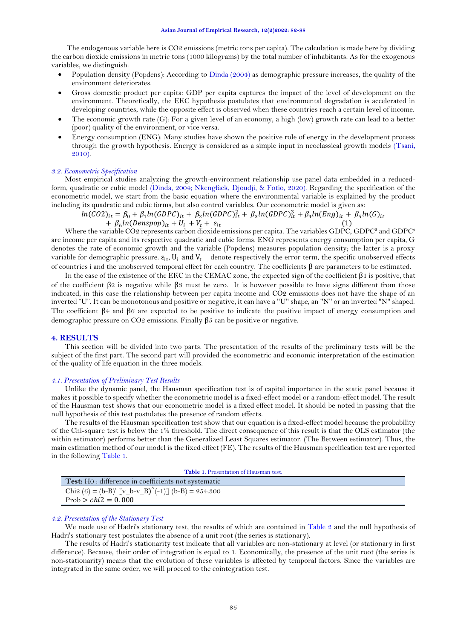The endogenous variable here is CO2 emissions (metric tons per capita). The calculation is made here by dividing the carbon dioxide emissions in metric tons (1000 kilograms) by the total number of inhabitants. As for the exogenous variables, we distinguish:

- Population density (Popdens): According t[o Dinda \(2004\)](#page-5-2) as demographic pressure increases, the quality of the environment deteriorates.
- Gross domestic product per capita: GDP per capita captures the impact of the level of development on the environment. Theoretically, the EKC hypothesis postulates that environmental degradation is accelerated in developing countries, while the opposite effect is observed when these countries reach a certain level of income.
- The economic growth rate (G): For a given level of an economy, a high (low) growth rate can lead to a better (poor) quality of the environment, or vice versa.
- Energy consumption (ENG): Many studies have shown the positive role of energy in the development process through the growth hypothesis. Energy is considered as a simple input in neoclassical growth models [\(Tsani,](#page-6-20)  [2010\)](#page-6-20).

## *3.2. Econometric Specification*

Most empirical studies analyzing the growth-environment relationship use panel data embedded in a reducedform, quadratic or cubic model [\(Dinda, 2004;](#page-5-2) [Nkengfack, Djoudji, & Fotio, 2020\)](#page-6-21). Regarding the specification of the econometric model, we start from the basic equation where the environmental variable is explained by the product including its quadratic and cubic forms, but also control variables. Our econometric model is given as:

 $ln(CO2)_{it} = \beta_0 + \beta_1 ln(GDPC)_{it} + \beta_2 ln(GDPC)_{it}^2 + \beta_3 ln(GDPC)_{it}^3 + \beta_4 ln(Eng)_{it} + \beta_5 ln(G)_{it}$  $+ \beta_6 ln(Denspop)_{it} + U_i + V_t + \varepsilon_{it}$  (1)

Where the variable CO2 represents carbon dioxide emissions per capita. The variables GDPC, GDPC<sup>2</sup> and GDPC<sup>3</sup> are income per capita and its respective quadratic and cubic forms. ENG represents energy consumption per capita, G denotes the rate of economic growth and the variable (Popdens) measures population density; the latter is a proxy variable for demographic pressure.  $\varepsilon_{it}$ , U<sub>i</sub> and V<sub>t</sub> denote respectively the error term, the specific unobserved effects of countries i and the unobserved temporal effect for each country. The coefficients β are parameters to be estimated.

In the case of the existence of the EKC in the CEMAC zone, the expected sign of the coefficient  $\beta$ 1 is positive, that of the coefficient  $\beta$ 2 is negative while  $\beta$ 3 must be zero. It is however possible to have signs different from those indicated, in this case the relationship between per capita income and CO2 emissions does not have the shape of an inverted "U". It can be monotonous and positive or negative, it can have a "U" shape, an "N" or an inverted "N" shaped. The coefficient β4 and β6 are expected to be positive to indicate the positive impact of energy consumption and demographic pressure on CO2 emissions. Finally β5 can be positive or negative.

### **4. RESULTS**

This section will be divided into two parts. The presentation of the results of the preliminary tests will be the subject of the first part. The second part will provided the econometric and economic interpretation of the estimation of the quality of life equation in the three models.

#### *4.1. Presentation of Preliminary Test Results*

Unlike the dynamic panel, the Hausman specification test is of capital importance in the static panel because it makes it possible to specify whether the econometric model is a fixed-effect model or a random-effect model. The result of the Hausman test shows that our econometric model is a fixed effect model. It should be noted in passing that the null hypothesis of this test postulates the presence of random effects.

The results of the Hausman specification test show that our equation is a fixed-effect model because the probability of the Chi-square test is below the 1% threshold. The direct consequence of this result is that the OLS estimator (the within estimator) performs better than the Generalized Least Squares estimator. (The Between estimator). Thus, the main estimation method of our model is the fixed effect (FE). The results of the Hausman specification test are reported in the followin[g Table](#page-3-0) 1.

<span id="page-3-0"></span>

| <b>Table 1.</b> Presentation of Hausman test.               |  |  |
|-------------------------------------------------------------|--|--|
| <b>Test:</b> H0 : difference in coefficients not systematic |  |  |
| Chi2 (6) = (b-B)' $[v_b-v_B'(-1)]$ (b-B) = 254.300          |  |  |
| Prob $>chi2 = 0.000$                                        |  |  |

#### *4.2. Presentation of the Stationary Test*

We made use of Hadri's stationary test, the results of which are contained in [Table 2](#page-4-0) and the null hypothesis of Hadri's stationary test postulates the absence of a unit root (the series is stationary).

The results of Hadri's stationarity test indicate that all variables are non-stationary at level (or stationary in first difference). Because, their order of integration is equal to 1. Economically, the presence of the unit root (the series is non-stationarity) means that the evolution of these variables is affected by temporal factors. Since the variables are integrated in the same order, we will proceed to the cointegration test.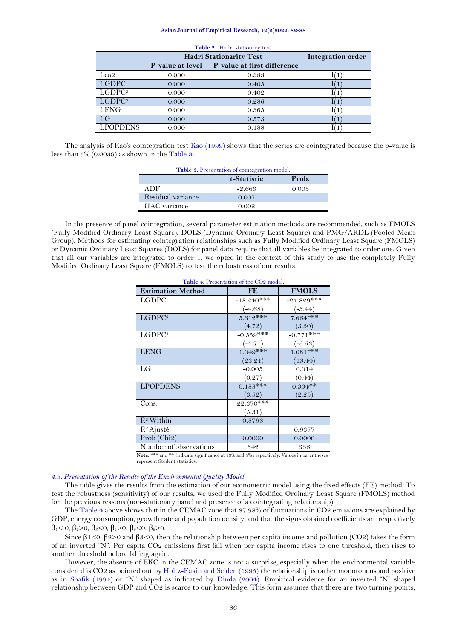#### **Asian Journal of Empirical Research, 12(2)2022: 82-88**

<span id="page-4-0"></span>

|                    | <b>Hadri Stationarity Test</b> |                             | <b>Integration order</b> |
|--------------------|--------------------------------|-----------------------------|--------------------------|
|                    | P-value at level               | P-value at first difference |                          |
| $\text{Loc}2$      | 0.000                          | 0.383                       | (1)                      |
| <b>LGDPC</b>       | 0.000                          | 0.405                       | (1)                      |
| LGDPC <sup>2</sup> | 0.000                          | 0.402                       | (1)                      |
| LGDPC <sup>3</sup> | 0.000                          | 0.286                       | (1)                      |
| <b>LENG</b>        | 0.000                          | 0.365                       | (1)                      |
| LG                 | 0.000                          | 0.573                       | (1)                      |
| <b>LPOPDENS</b>    | 0.000                          | 0.188                       | (1)                      |

**Table 2.** Hadri stationary test.

<span id="page-4-1"></span>The analysis of Kao's cointegration test [Kao \(1999\)](#page-6-22) shows that the series are cointegrated because the p-value is less than 5% (0.0039) as shown in the [Table](#page-4-1) 3:

| Table 3. Presentation of cointegration model. |             |       |  |
|-----------------------------------------------|-------------|-------|--|
|                                               | t-Statistic | Prob. |  |
| A DF.                                         | $-2.663$    | 0.003 |  |
| Residual variance                             | 0.007       |       |  |
| HAC variance                                  | 0.002       |       |  |

<span id="page-4-2"></span>In the presence of panel cointegration, several parameter estimation methods are recommended, such as FMOLS (Fully Modified Ordinary Least Square), DOLS (Dynamic Ordinary Least Square) and PMG/ARDL (Pooled Mean Group). Methods for estimating cointegration relationships such as Fully Modified Ordinary Least Square (FMOLS) or Dynamic Ordinary Least Squares (DOLS) for panel data require that all variables be integrated to order one. Given that all our variables are integrated to order 1, we opted in the context of this study to use the completely Fully Modified Ordinary Least Square (FMOLS) to test the robustness of our results.

| Table 4. Presentation of the CO2 model. |              |              |
|-----------------------------------------|--------------|--------------|
| <b>Estimation Method</b>                | FE           | <b>FMOLS</b> |
| LGDPC                                   | $-18.240***$ | $-24.829***$ |
|                                         | $(-4.68)$    | $(-3.44)$    |
| LGDPC <sup>2</sup>                      | $5.612***$   | $7.664***$   |
|                                         | (4.72)       | (3.50)       |
| LGDPC <sup>3</sup>                      | $-0.559$ *** | $-0.771$ *** |
|                                         | $(-4.71)$    | $(-3.53)$    |
| <b>LENG</b>                             | $1.049***$   | $1.081$ ***  |
|                                         | (23.24)      | (13.44)      |
| LG                                      | $-0.005$     | 0.014        |
|                                         | (0.27)       | (0.44)       |
| <b>LPOPDENS</b>                         | $0.183***$   | $0.334**$    |
|                                         | (3.52)       | (2.25)       |
| Cons.                                   | 22.370***    |              |
|                                         | (5.31)       |              |
| $R^2$ Within                            | 0.8798       |              |
| $R^2$ Ajusté                            |              | 0.9377       |
| $Prob$ (Chi <sub>2</sub> )              | 0.0000       | 0.0000       |
| Number of observations                  | 342          | 336          |

**Note:** \*\*\* and \*\* indicate significance at 10% and 5% respectively. Values in parentheses represent Student statistics.

## *4.3. Presentation of the Results of the Environmental Quality Model*

The table gives the results from the estimation of our econometric model using the fixed effects (FE) method. To test the robustness (sensitivity) of our results, we used the Fully Modified Ordinary Least Square (FMOLS) method for the previous reasons (non-stationary panel and presence of a cointegrating relationship).

Th[e Table](#page-4-2) 4 above shows that in the CEMAC zone that 87.98% of fluctuations in CO2 emissions are explained by GDP, energy consumption, growth rate and population density, and that the signs obtained coefficients are respectively  $β<sub>1</sub> < 0, β<sub>2</sub> > 0, β<sub>3</sub> < 0, β<sub>4</sub> > 0, β<sub>5</sub> < 0, β<sub>6</sub> > 0.$ 

Since  $\beta$ 1<0,  $\beta$ 2>0 and  $\beta$ 3<0, then the relationship between per capita income and pollution (CO2) takes the form of an inverted "N". Per capita CO2 emissions first fall when per capita income rises to one threshold, then rises to another threshold before falling again.

However, the absence of EKC in the CEMAC zone is not a surprise, especially when the environmental variable considered is CO2 as pointed out by [Holtz-Eakin and Selden \(1995\)](#page-6-23) the relationship is rather monotonous and positive as in [Shafik \(1994\)](#page-6-24) or "N" shaped as indicated by [Dinda \(2004\)](#page-5-2). Empirical evidence for an inverted "N" shaped relationship between GDP and CO2 is scarce to our knowledge. This form assumes that there are two turning points,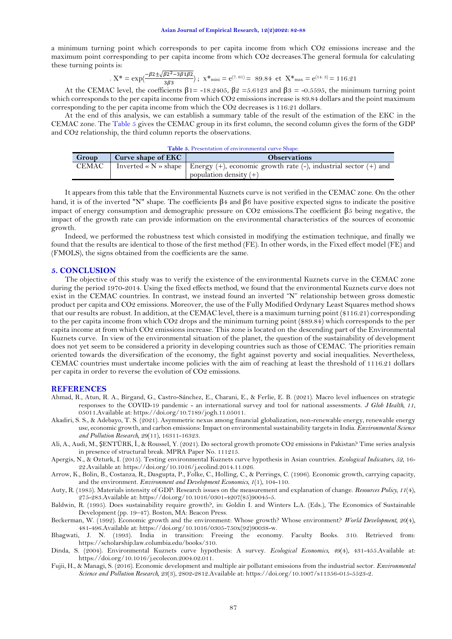a minimum turning point which corresponds to per capita income from which CO2 emissions increase and the maximum point corresponding to per capita income from which CO2 decreases.The general formula for calculating these turning points is:

$$
. \; X^* = \exp(\frac{-\beta 2 \pm \sqrt{\beta 2^2 - 3\beta 1 \beta 2}}{3\beta^3}); \; x^*_{\text{mini}} = e^{(7.61)} = \; 89.84 \; \text{ et } \; X^*_{\text{max}} = e^{(14.3)} = \, 116.21
$$

At the CEMAC level, the coefficients  $\beta$ 1= -18.2405,  $\beta$ 2 = 5.6123 and  $\beta$ 3 = -0.5595, the minimum turning point which corresponds to the per capita income from which CO2 emissions increase is 89.84 dollars and the point maximum corresponding to the per capita income from which the CO2 decreases is 116.21 dollars.

At the end of this analysis, we can establish a summary table of the result of the estimation of the EKC in the CEMAC zone. The [Table](#page-5-11) 5 gives the CEMAC group in its first column, the second column gives the form of the GDP and CO2 relationship, the third column reports the observations.

<span id="page-5-11"></span>

| <b>Table 5.</b> Presentation of environmental curve Shape. |                    |                                                                                                |  |  |
|------------------------------------------------------------|--------------------|------------------------------------------------------------------------------------------------|--|--|
| Group                                                      | Curve shape of EKC | <b>Observations</b>                                                                            |  |  |
| <b>CEMAC</b>                                               |                    | Inverted « N » shape   Energy $(+)$ , economic growth rate $(-)$ , industrial sector $(+)$ and |  |  |
|                                                            |                    | population density $(+)$                                                                       |  |  |

It appears from this table that the Environmental Kuznets curve is not verified in the CEMAC zone. On the other hand, it is of the inverted "N" shape. The coefficients β4 and β6 have positive expected signs to indicate the positive impact of energy consumption and demographic pressure on CO2 emissions.The coefficient β5 being negative, the impact of the growth rate can provide information on the environmental characteristics of the sources of economic growth.

Indeed, we performed the robustness test which consisted in modifying the estimation technique, and finally we found that the results are identical to those of the first method (FE). In other words, in the Fixed effect model (FE) and (FMOLS), the signs obtained from the coefficients are the same.

## **5. CONCLUSION**

The objective of this study was to verify the existence of the environmental Kuznets curve in the CEMAC zone during the period 1970-2014. Using the fixed effects method, we found that the environmental Kuznets curve does not exist in the CEMAC countries. In contrast, we instead found an inverted "N" relationship between gross domestic product per capita and CO2 emissions. Moreover, the use of the Fully Modified Ordynary Least Squares method shows that our results are robust. In addition, at the CEMAC level, there is a maximum turning point (\$116.21) corresponding to the per capita income from which CO2 drops and the minimum turning point (\$89.84) which corresponds to the per capita income at from which CO2 emissions increase. This zone is located on the descending part of the Environmental Kuznets curve. In view of the environmental situation of the planet, the question of the sustainability of development does not yet seem to be considered a priority in developing countries such as those of CEMAC. The priorities remain oriented towards the diversification of the economy, the fight against poverty and social inequalities. Nevertheless, CEMAC countries must undertake income policies with the aim of reaching at least the threshold of 1116.21 dollars per capita in order to reverse the evolution of CO2 emissions.

#### **REFERENCES**

- <span id="page-5-8"></span>Ahmad, R., Atun, R. A., Birgand, G., Castro-Sánchez, E., Charani, E., & Ferlie, E. B. (2021). Macro level influences on strategic responses to the COVID-19 pandemic - an international survey and tool for national assessments. *J Glob Health, 11*, 05011.Available at: https://doi.org/10.7189/jogh.11.05011.
- <span id="page-5-9"></span>Akadiri, S. S., & Adebayo, T. S. (2021). Asymmetric nexus among financial globalization, non-renewable energy, renewable energy use, economic growth, and carbon emissions: Impact on environmental sustainability targets in India. *Environmental Science and Pollution Research, 29*(11), 16311-16323.
- <span id="page-5-10"></span>Ali, A., Audi, M., ŞENTÜRK, İ., & Roussel, Y. (2021). Do sectoral growth promote CO2 emissions in Pakistan? Time series analysis in presence of structural break. MPRA Paper No. 111215.
- <span id="page-5-4"></span>Apergis, N., & Ozturk, I. (2015). Testing environmental Kuznets curve hypothesis in Asian countries. *Ecological Indicators, 52*, 16- 22.Available at: https://doi.org/10.1016/j.ecolind.2014.11.026.
- <span id="page-5-1"></span>Arrow, K., Bolin, B., Costanza, R., Dasgupta, P., Folke, C., Holling, C., & Perrings, C. (1996). Economic growth, carrying capacity, and the environment. *Environment and Development Economics, 1*(1), 104-110.

<span id="page-5-0"></span>Auty, R. (1985). Materials intensity of GDP: Research issues on the measurement and explanation of change. *Resources Policy, 11*(4), 275-283.Available at: https://doi.org/10.1016/0301-4207(85)90045-5.

<span id="page-5-7"></span>Baldwin, R. (1995). Does sustainability require growth?, in: Goldin I. and Winters L.A. (Eds.), The Economics of Sustainable Development (pp. 19–47). Boston, MA: Beacon Press.

<span id="page-5-3"></span>Beckerman, W. (1992). Economic growth and the environment: Whose growth? Whose environment? *World Development, 20*(4), 481-496.Available at: https://doi.org/10.1016/0305-750x(92)90038-w.

<span id="page-5-6"></span>Bhagwati, J. N. (1993). India in transition: Freeing the economy. Faculty Books. 310. Retrieved from: https://scholarship.law.columbia.edu/books/310.

- <span id="page-5-2"></span>Dinda, S. (2004). Environmental Kuznets curve hypothesis: A survey. *Ecological Economics, 49*(4), 431-455.Available at: https://doi.org/10.1016/j.ecolecon.2004.02.011.
- <span id="page-5-5"></span>Fujii, H., & Managi, S. (2016). Economic development and multiple air pollutant emissions from the industrial sector. *Environmental Science and Pollution Research, 23*(3), 2802-2812.Available at: https://doi.org/10.1007/s11356-015-5523-2.